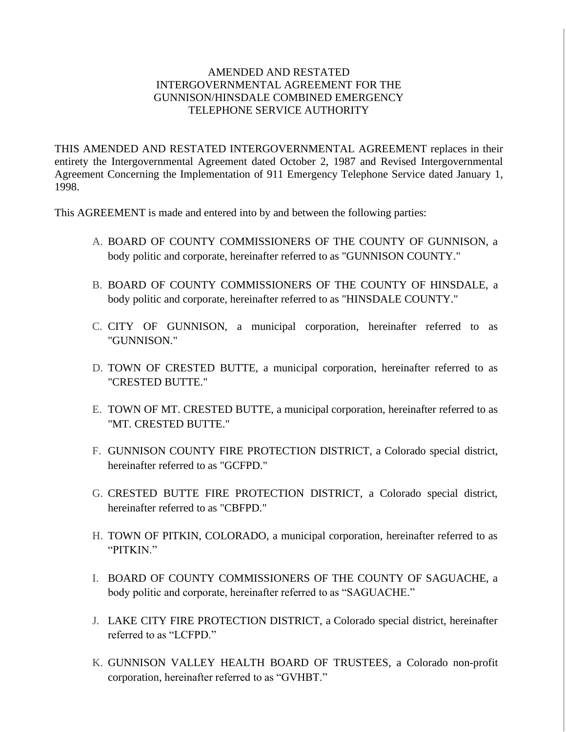## AMENDED AND RESTATED INTERGOVERNMENTAL AGREEMENT FOR THE GUNNISON/HINSDALE COMBINED EMERGENCY TELEPHONE SERVICE AUTHORITY

THIS AMENDED AND RESTATED INTERGOVERNMENTAL AGREEMENT replaces in their entirety the Intergovernmental Agreement dated October 2, 1987 and Revised Intergovernmental Agreement Concerning the Implementation of 911 Emergency Telephone Service dated January 1, 1998.

This AGREEMENT is made and entered into by and between the following parties:

- A. BOARD OF COUNTY COMMISSIONERS OF THE COUNTY OF GUNNISON, a body politic and corporate, hereinafter referred to as "GUNNISON COUNTY."
- B. BOARD OF COUNTY COMMISSIONERS OF THE COUNTY OF HINSDALE, a body politic and corporate, hereinafter referred to as "HINSDALE COUNTY."
- C. CITY OF GUNNISON, a municipal corporation, hereinafter referred to as "GUNNISON."
- D. TOWN OF CRESTED BUTTE, a municipal corporation, hereinafter referred to as "CRESTED BUTTE."
- E. TOWN OF MT. CRESTED BUTTE, a municipal corporation, hereinafter referred to as "MT. CRESTED BUTTE."
- F. GUNNISON COUNTY FIRE PROTECTION DISTRICT, a Colorado special district, hereinafter referred to as "GCFPD."
- G. CRESTED BUTTE FIRE PROTECTION DISTRICT, a Colorado special district, hereinafter referred to as "CBFPD."
- H. TOWN OF PITKIN, COLORADO, a municipal corporation, hereinafter referred to as "PITKIN."
- I. BOARD OF COUNTY COMMISSIONERS OF THE COUNTY OF SAGUACHE, a body politic and corporate, hereinafter referred to as "SAGUACHE."
- J. LAKE CITY FIRE PROTECTION DISTRICT, a Colorado special district, hereinafter referred to as "LCFPD."
- K. GUNNISON VALLEY HEALTH BOARD OF TRUSTEES, a Colorado non-profit corporation, hereinafter referred to as "GVHBT."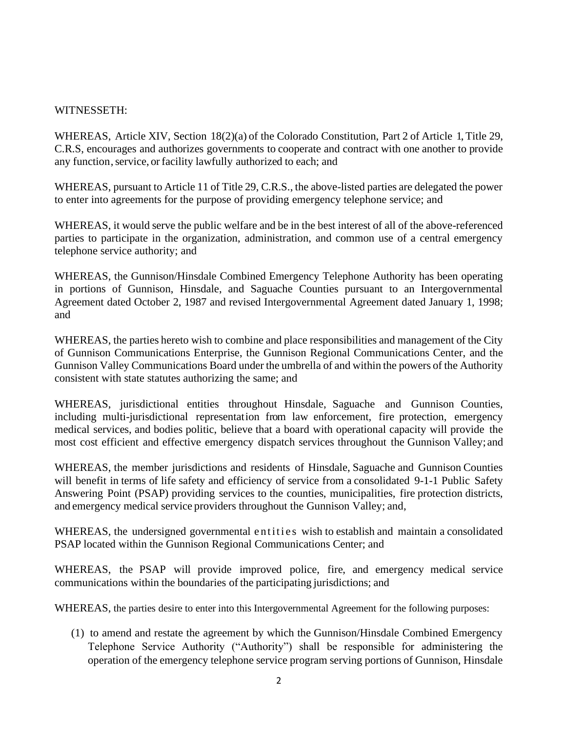#### WITNESSETH:

WHEREAS, Article XIV, Section 18(2)(a) of the Colorado Constitution, Part 2 of Article 1, Title 29, C.R.S, encourages and authorizes governments to cooperate and contract with one another to provide any function, service, or facility lawfully authorized to each; and

WHEREAS, pursuant to Article 11 of Title 29, C.R.S., the above-listed parties are delegated the power to enter into agreements for the purpose of providing emergency telephone service; and

WHEREAS, it would serve the public welfare and be in the best interest of all of the above-referenced parties to participate in the organization, administration, and common use of a central emergency telephone service authority; and

WHEREAS, the Gunnison/Hinsdale Combined Emergency Telephone Authority has been operating in portions of Gunnison, Hinsdale, and Saguache Counties pursuant to an Intergovernmental Agreement dated October 2, 1987 and revised Intergovernmental Agreement dated January 1, 1998; and

WHEREAS, the parties hereto wish to combine and place responsibilities and management of the City of Gunnison Communications Enterprise, the Gunnison Regional Communications Center, and the Gunnison Valley Communications Board under the umbrella of and within the powers of the Authority consistent with state statutes authorizing the same; and

WHEREAS, jurisdictional entities throughout Hinsdale, Saguache and Gunnison Counties, including multi-jurisdictional representation from law enforcement, fire protection, emergency medical services, and bodies politic, believe that a board with operational capacity will provide the most cost efficient and effective emergency dispatch services throughout the Gunnison Valley; and

WHEREAS, the member jurisdictions and residents of Hinsdale, Saguache and Gunnison Counties will benefit in terms of life safety and efficiency of service from a consolidated 9-1-1 Public Safety Answering Point (PSAP) providing services to the counties, municipalities, fire protection districts, and emergency medical service providers throughout the Gunnison Valley; and,

WHEREAS, the undersigned governmental entities wish to establish and maintain a consolidated PSAP located within the Gunnison Regional Communications Center; and

WHEREAS, the PSAP will provide improved police, fire, and emergency medical service communications within the boundaries of the participating jurisdictions; and

WHEREAS, the parties desire to enter into this Intergovernmental Agreement for the following purposes:

(1) to amend and restate the agreement by which the Gunnison/Hinsdale Combined Emergency Telephone Service Authority ("Authority") shall be responsible for administering the operation of the emergency telephone service program serving portions of Gunnison, Hinsdale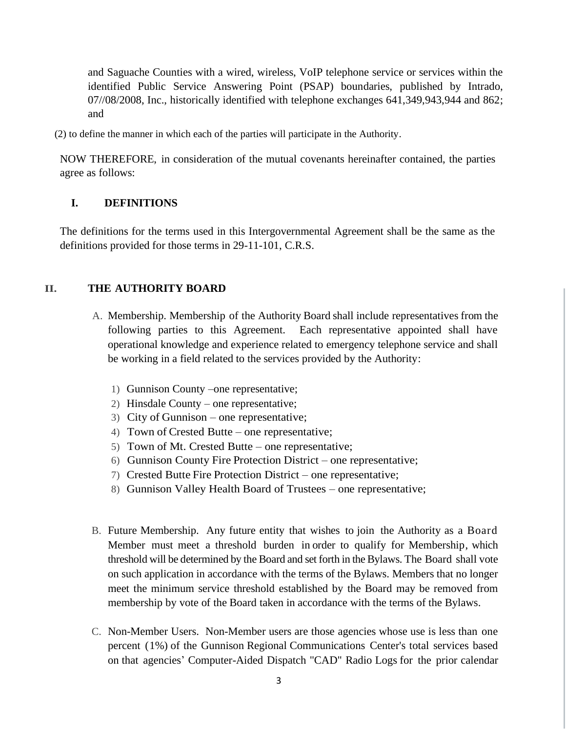and Saguache Counties with a wired, wireless, VoIP telephone service or services within the identified Public Service Answering Point (PSAP) boundaries, published by Intrado, 07//08/2008, Inc., historically identified with telephone exchanges 641,349,943,944 and 862; and

(2) to define the manner in which each of the parties will participate in the Authority.

NOW THEREFORE, in consideration of the mutual covenants hereinafter contained, the parties agree as follows:

#### **I. DEFINITIONS**

The definitions for the terms used in this Intergovernmental Agreement shall be the same as the definitions provided for those terms in 29-11-101, C.R.S.

#### **II. THE AUTHORITY BOARD**

- A. Membership. Membership of the Authority Board shall include representatives from the following parties to this Agreement. Each representative appointed shall have operational knowledge and experience related to emergency telephone service and shall be working in a field related to the services provided by the Authority:
	- 1) Gunnison County –one representative;
	- 2) Hinsdale County one representative;
	- 3) City of Gunnison one representative;
	- 4) Town of Crested Butte one representative;
	- 5) Town of Mt. Crested Butte one representative;
	- 6) Gunnison County Fire Protection District one representative;
	- 7) Crested Butte Fire Protection District one representative;
	- 8) Gunnison Valley Health Board of Trustees one representative;
- B. Future Membership. Any future entity that wishes to join the Authority as a Board Member must meet a threshold burden in order to qualify for Membership, which threshold will be determined by the Board and set forth in the Bylaws. The Board shall vote on such application in accordance with the terms of the Bylaws. Members that no longer meet the minimum service threshold established by the Board may be removed from membership by vote of the Board taken in accordance with the terms of the Bylaws.
- C. Non-Member Users. Non-Member users are those agencies whose use is less than one percent (1%) of the Gunnison Regional Communications Center's total services based on that agencies' Computer-Aided Dispatch "CAD" Radio Logs for the prior calendar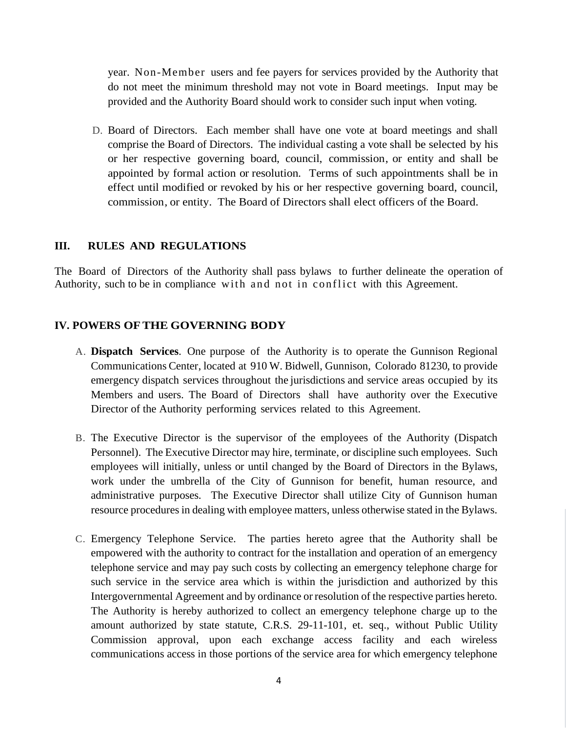year. Non-Member users and fee payers for services provided by the Authority that do not meet the minimum threshold may not vote in Board meetings. Input may be provided and the Authority Board should work to consider such input when voting.

D. Board of Directors. Each member shall have one vote at board meetings and shall comprise the Board of Directors. The individual casting a vote shall be selected by his or her respective governing board, council, commission, or entity and shall be appointed by formal action or resolution. Terms of such appointments shall be in effect until modified or revoked by his or her respective governing board, council, commission, or entity. The Board of Directors shall elect officers of the Board.

#### **III. RULES AND REGULATIONS**

The Board of Directors of the Authority shall pass bylaws to further delineate the operation of Authority, such to be in compliance with and not in conflict with this Agreement.

#### **IV. POWERS OFTHE GOVERNING BODY**

- A. **Dispatch Services**. One purpose of the Authority is to operate the Gunnison Regional Communications Center, located at 910 W. Bidwell, Gunnison, Colorado 81230, to provide emergency dispatch services throughout the jurisdictions and service areas occupied by its Members and users. The Board of Directors shall have authority over the Executive Director of the Authority performing services related to this Agreement.
- B. The Executive Director is the supervisor of the employees of the Authority (Dispatch Personnel). The Executive Director may hire, terminate, or discipline such employees. Such employees will initially, unless or until changed by the Board of Directors in the Bylaws, work under the umbrella of the City of Gunnison for benefit, human resource, and administrative purposes. The Executive Director shall utilize City of Gunnison human resource procedures in dealing with employee matters, unless otherwise stated in the Bylaws.
- C. Emergency Telephone Service. The parties hereto agree that the Authority shall be empowered with the authority to contract for the installation and operation of an emergency telephone service and may pay such costs by collecting an emergency telephone charge for such service in the service area which is within the jurisdiction and authorized by this Intergovernmental Agreement and by ordinance or resolution of the respective parties hereto. The Authority is hereby authorized to collect an emergency telephone charge up to the amount authorized by state statute, C.R.S. 29-11-101, et. seq., without Public Utility Commission approval, upon each exchange access facility and each wireless communications access in those portions of the service area for which emergency telephone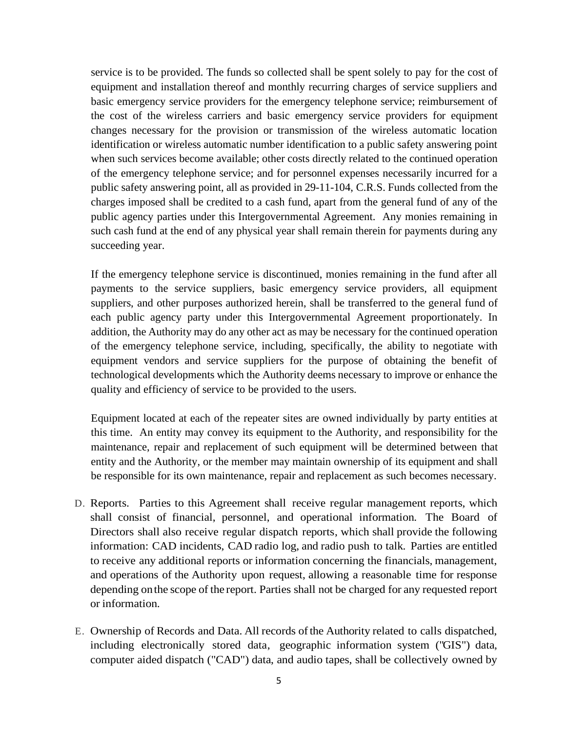service is to be provided. The funds so collected shall be spent solely to pay for the cost of equipment and installation thereof and monthly recurring charges of service suppliers and basic emergency service providers for the emergency telephone service; reimbursement of the cost of the wireless carriers and basic emergency service providers for equipment changes necessary for the provision or transmission of the wireless automatic location identification or wireless automatic number identification to a public safety answering point when such services become available; other costs directly related to the continued operation of the emergency telephone service; and for personnel expenses necessarily incurred for a public safety answering point, all as provided in 29-11-104, C.R.S. Funds collected from the charges imposed shall be credited to a cash fund, apart from the general fund of any of the public agency parties under this Intergovernmental Agreement. Any monies remaining in such cash fund at the end of any physical year shall remain therein for payments during any succeeding year.

If the emergency telephone service is discontinued, monies remaining in the fund after all payments to the service suppliers, basic emergency service providers, all equipment suppliers, and other purposes authorized herein, shall be transferred to the general fund of each public agency party under this Intergovernmental Agreement proportionately. In addition, the Authority may do any other act as may be necessary for the continued operation of the emergency telephone service, including, specifically, the ability to negotiate with equipment vendors and service suppliers for the purpose of obtaining the benefit of technological developments which the Authority deems necessary to improve or enhance the quality and efficiency of service to be provided to the users.

Equipment located at each of the repeater sites are owned individually by party entities at this time. An entity may convey its equipment to the Authority, and responsibility for the maintenance, repair and replacement of such equipment will be determined between that entity and the Authority, or the member may maintain ownership of its equipment and shall be responsible for its own maintenance, repair and replacement as such becomes necessary.

- D. Reports. Parties to this Agreement shall receive regular management reports, which shall consist of financial, personnel, and operational information. The Board of Directors shall also receive regular dispatch reports, which shall provide the following information: CAD incidents, CAD radio log, and radio push to talk. Parties are entitled to receive any additional reports or information concerning the financials, management, and operations of the Authority upon request, allowing a reasonable time for response depending onthe scope of the report. Parties shall not be charged for any requested report or information.
- E. Ownership of Records and Data. All records of the Authority related to calls dispatched, including electronically stored data, geographic information system ("GIS") data, computer aided dispatch ("CAD") data, and audio tapes, shall be collectively owned by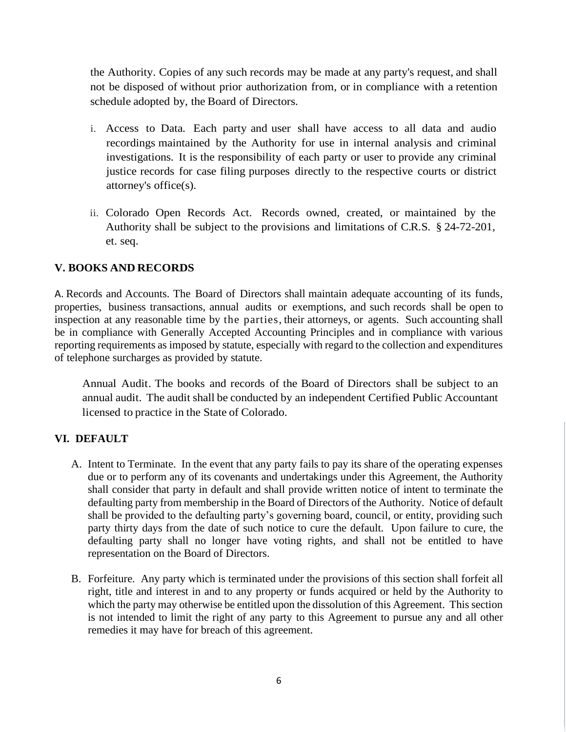the Authority. Copies of any such records may be made at any party's request, and shall not be disposed of without prior authorization from, or in compliance with a retention schedule adopted by, the Board of Directors.

- i. Access to Data. Each party and user shall have access to all data and audio recordings maintained by the Authority for use in internal analysis and criminal investigations. It is the responsibility of each party or user to provide any criminal justice records for case filing purposes directly to the respective courts or district attorney's office(s).
- ii. Colorado Open Records Act. Records owned, created, or maintained by the Authority shall be subject to the provisions and limitations of C.R.S. § 24-72-201, et. seq.

## **V. BOOKS AND RECORDS**

A. Records and Accounts. The Board of Directors shall maintain adequate accounting of its funds, properties, business transactions, annual audits or exemptions, and such records shall be open to inspection at any reasonable time by the parties, their attorneys, or agents. Such accounting shall be in compliance with Generally Accepted Accounting Principles and in compliance with various reporting requirements as imposed by statute, especially with regard to the collection and expenditures of telephone surcharges as provided by statute.

Annual Audit. The books and records of the Board of Directors shall be subject to an annual audit. The audit shall be conducted by an independent Certified Public Accountant licensed to practice in the State of Colorado.

## **VI. DEFAULT**

- A. Intent to Terminate. In the event that any party fails to pay its share of the operating expenses due or to perform any of its covenants and undertakings under this Agreement, the Authority shall consider that party in default and shall provide written notice of intent to terminate the defaulting party from membership in the Board of Directors of the Authority. Notice of default shall be provided to the defaulting party's governing board, council, or entity, providing such party thirty days from the date of such notice to cure the default. Upon failure to cure, the defaulting party shall no longer have voting rights, and shall not be entitled to have representation on the Board of Directors.
- B. Forfeiture. Any party which is terminated under the provisions of this section shall forfeit all right, title and interest in and to any property or funds acquired or held by the Authority to which the party may otherwise be entitled upon the dissolution of this Agreement. This section is not intended to limit the right of any party to this Agreement to pursue any and all other remedies it may have for breach of this agreement.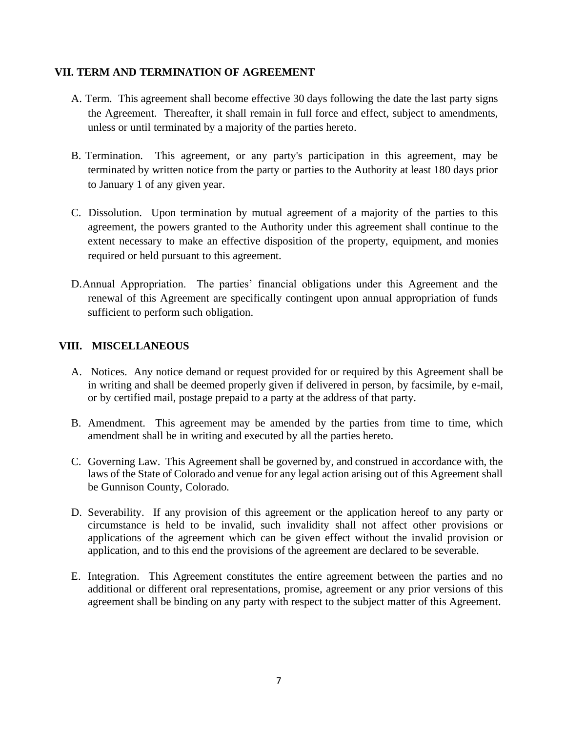## **VII. TERM AND TERMINATION OF AGREEMENT**

- A. Term. This agreement shall become effective 30 days following the date the last party signs the Agreement. Thereafter, it shall remain in full force and effect, subject to amendments, unless or until terminated by a majority of the parties hereto.
- B. Termination. This agreement, or any party's participation in this agreement, may be terminated by written notice from the party or parties to the Authority at least 180 days prior to January 1 of any given year.
- C. Dissolution. Upon termination by mutual agreement of a majority of the parties to this agreement, the powers granted to the Authority under this agreement shall continue to the extent necessary to make an effective disposition of the property, equipment, and monies required or held pursuant to this agreement.
- D.Annual Appropriation. The parties' financial obligations under this Agreement and the renewal of this Agreement are specifically contingent upon annual appropriation of funds sufficient to perform such obligation.

## **VIII. MISCELLANEOUS**

- A. Notices. Any notice demand or request provided for or required by this Agreement shall be in writing and shall be deemed properly given if delivered in person, by facsimile, by e-mail, or by certified mail, postage prepaid to a party at the address of that party.
- B. Amendment. This agreement may be amended by the parties from time to time, which amendment shall be in writing and executed by all the parties hereto.
- C. Governing Law. This Agreement shall be governed by, and construed in accordance with, the laws of the State of Colorado and venue for any legal action arising out of this Agreement shall be Gunnison County, Colorado.
- D. Severability. If any provision of this agreement or the application hereof to any party or circumstance is held to be invalid, such invalidity shall not affect other provisions or applications of the agreement which can be given effect without the invalid provision or application, and to this end the provisions of the agreement are declared to be severable.
- E. Integration. This Agreement constitutes the entire agreement between the parties and no additional or different oral representations, promise, agreement or any prior versions of this agreement shall be binding on any party with respect to the subject matter of this Agreement.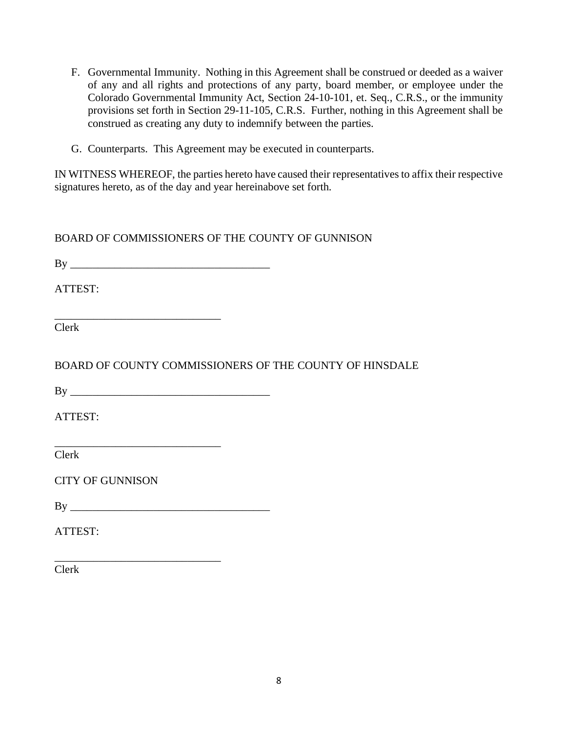F. Governmental Immunity. Nothing in this Agreement shall be construed or deeded as a waiver of any and all rights and protections of any party, board member, or employee under the Colorado Governmental Immunity Act, Section 24-10-101, et. Seq., C.R.S., or the immunity provisions set forth in Section 29-11-105, C.R.S. Further, nothing in this Agreement shall be construed as creating any duty to indemnify between the parties.

G. Counterparts. This Agreement may be executed in counterparts.

IN WITNESS WHEREOF, the parties hereto have caused their representatives to affix their respective signatures hereto, as of the day and year hereinabove set forth.

BOARD OF COMMISSIONERS OF THE COUNTY OF GUNNISON

 $\mathbf{B} \mathbf{y}$ 

\_\_\_\_\_\_\_\_\_\_\_\_\_\_\_\_\_\_\_\_\_\_\_\_\_\_\_\_\_\_

ATTEST:

Clerk

BOARD OF COUNTY COMMISSIONERS OF THE COUNTY OF HINSDALE

 $\mathbf{B} \mathbf{y}$ 

\_\_\_\_\_\_\_\_\_\_\_\_\_\_\_\_\_\_\_\_\_\_\_\_\_\_\_\_\_\_

ATTEST:

Clerk

CITY OF GUNNISON

 $\mathbf{B} \mathbf{v}$ 

\_\_\_\_\_\_\_\_\_\_\_\_\_\_\_\_\_\_\_\_\_\_\_\_\_\_\_\_\_\_

ATTEST:

Clerk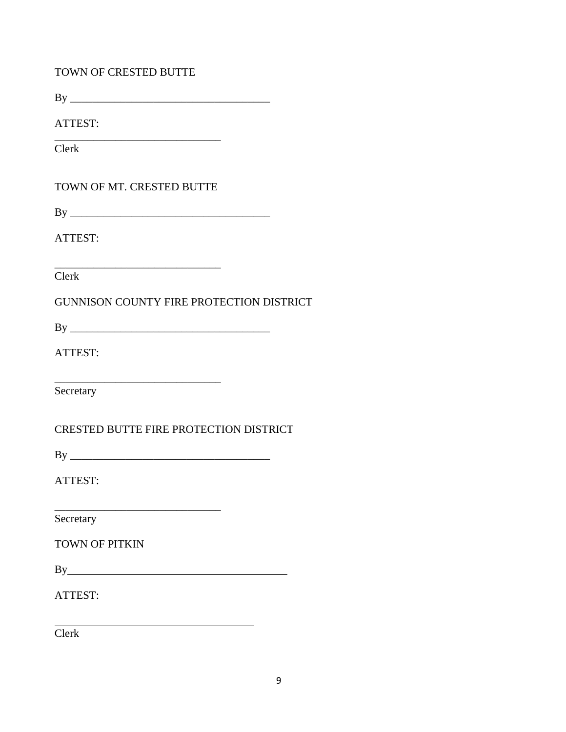| <b>TOWN OF CRESTED BUTTE</b>                                                                                                                                                                                                        |
|-------------------------------------------------------------------------------------------------------------------------------------------------------------------------------------------------------------------------------------|
|                                                                                                                                                                                                                                     |
| ATTEST:                                                                                                                                                                                                                             |
| Clerk                                                                                                                                                                                                                               |
| TOWN OF MT. CRESTED BUTTE                                                                                                                                                                                                           |
|                                                                                                                                                                                                                                     |
| ATTEST:                                                                                                                                                                                                                             |
| Clerk                                                                                                                                                                                                                               |
| <b>GUNNISON COUNTY FIRE PROTECTION DISTRICT</b>                                                                                                                                                                                     |
|                                                                                                                                                                                                                                     |
| ATTEST:                                                                                                                                                                                                                             |
| Secretary                                                                                                                                                                                                                           |
| CRESTED BUTTE FIRE PROTECTION DISTRICT                                                                                                                                                                                              |
|                                                                                                                                                                                                                                     |
| ATTEST:                                                                                                                                                                                                                             |
| Secretary                                                                                                                                                                                                                           |
| <b>TOWN OF PITKIN</b>                                                                                                                                                                                                               |
| By <u>superior and</u> the set of the set of the set of the set of the set of the set of the set of the set of the set of the set of the set of the set of the set of the set of the set of the set of the set of the set of the se |
| ATTEST:                                                                                                                                                                                                                             |
| Clerk                                                                                                                                                                                                                               |